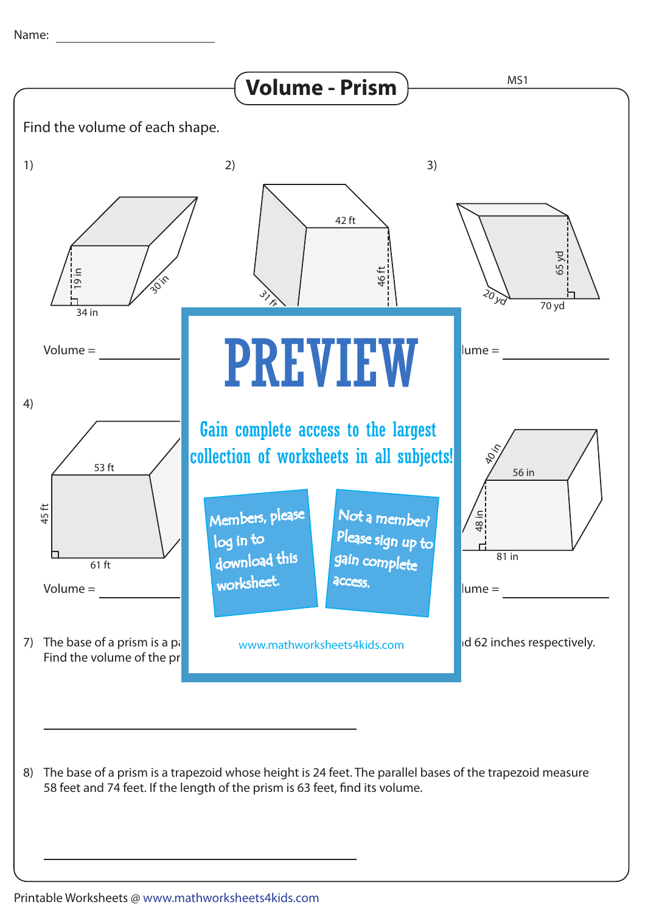